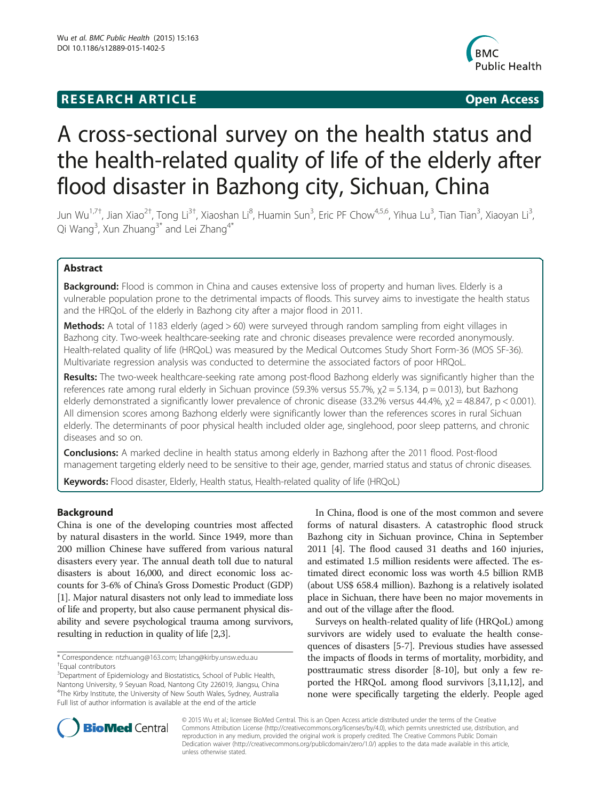# **RESEARCH ARTICLE Example 2018 12:00 Department of the Contract Open Access**



# A cross-sectional survey on the health status and the health-related quality of life of the elderly after flood disaster in Bazhong city, Sichuan, China

Jun Wu<sup>1,7†</sup>, Jian Xiao<sup>2†</sup>, Tong Li<sup>3†</sup>, Xiaoshan Li<sup>8</sup>, Huamin Sun<sup>3</sup>, Eric PF Chow<sup>4,5,6</sup>, Yihua Lu<sup>3</sup>, Tian Tian<sup>3</sup>, Xiaoyan Li<sup>3</sup> , Qi Wang<sup>3</sup>, Xun Zhuang<sup>3\*</sup> and Lei Zhang<sup>4\*</sup>

# Abstract

Background: Flood is common in China and causes extensive loss of property and human lives. Elderly is a vulnerable population prone to the detrimental impacts of floods. This survey aims to investigate the health status and the HRQoL of the elderly in Bazhong city after a major flood in 2011.

Methods: A total of 1183 elderly (aged > 60) were surveyed through random sampling from eight villages in Bazhong city. Two-week healthcare-seeking rate and chronic diseases prevalence were recorded anonymously. Health-related quality of life (HRQoL) was measured by the Medical Outcomes Study Short Form-36 (MOS SF-36). Multivariate regression analysis was conducted to determine the associated factors of poor HRQoL.

Results: The two-week healthcare-seeking rate among post-flood Bazhong elderly was significantly higher than the references rate among rural elderly in Sichuan province (59.3% versus 55.7%,  $\chi$ 2 = 5.134, p = 0.013), but Bazhong elderly demonstrated a significantly lower prevalence of chronic disease (33.2% versus 44.4%,  $\chi$ 2 = 48.847, p < 0.001). All dimension scores among Bazhong elderly were significantly lower than the references scores in rural Sichuan elderly. The determinants of poor physical health included older age, singlehood, poor sleep patterns, and chronic diseases and so on.

**Conclusions:** A marked decline in health status among elderly in Bazhong after the 2011 flood. Post-flood management targeting elderly need to be sensitive to their age, gender, married status and status of chronic diseases.

Keywords: Flood disaster, Elderly, Health status, Health-related quality of life (HRQoL)

# Background

China is one of the developing countries most affected by natural disasters in the world. Since 1949, more than 200 million Chinese have suffered from various natural disasters every year. The annual death toll due to natural disasters is about 16,000, and direct economic loss accounts for 3-6% of China's Gross Domestic Product (GDP) [[1](#page-7-0)]. Major natural disasters not only lead to immediate loss of life and property, but also cause permanent physical disability and severe psychological trauma among survivors, resulting in reduction in quality of life [[2,3](#page-7-0)].

In China, flood is one of the most common and severe forms of natural disasters. A catastrophic flood struck Bazhong city in Sichuan province, China in September 2011 [[4\]](#page-7-0). The flood caused 31 deaths and 160 injuries, and estimated 1.5 million residents were affected. The estimated direct economic loss was worth 4.5 billion RMB (about US\$ 658.4 million). Bazhong is a relatively isolated place in Sichuan, there have been no major movements in and out of the village after the flood.

Surveys on health-related quality of life (HRQoL) among survivors are widely used to evaluate the health consequences of disasters [[5-7](#page-7-0)]. Previous studies have assessed the impacts of floods in terms of mortality, morbidity, and posttraumatic stress disorder [\[8-10\]](#page-7-0), but only a few reported the HRQoL among flood survivors [\[3,11,12\]](#page-7-0), and none were specifically targeting the elderly. People aged



© 2015 Wu et al.; licensee BioMed Central. This is an Open Access article distributed under the terms of the Creative Commons Attribution License [\(http://creativecommons.org/licenses/by/4.0\)](http://creativecommons.org/licenses/by/4.0), which permits unrestricted use, distribution, and reproduction in any medium, provided the original work is properly credited. The Creative Commons Public Domain Dedication waiver [\(http://creativecommons.org/publicdomain/zero/1.0/](http://creativecommons.org/publicdomain/zero/1.0/)) applies to the data made available in this article, unless otherwise stated.

<sup>\*</sup> Correspondence: [ntzhuang@163.com;](mailto:ntzhuang@163.com) [lzhang@kirby.unsw.edu.au](mailto:lzhang@kirby.unsw.edu.au) † Equal contributors

<sup>&</sup>lt;sup>3</sup>Department of Epidemiology and Biostatistics, School of Public Health, Nantong University, 9 Seyuan Road, Nantong City 226019, Jiangsu, China 4 The Kirby Institute, the University of New South Wales, Sydney, Australia Full list of author information is available at the end of the article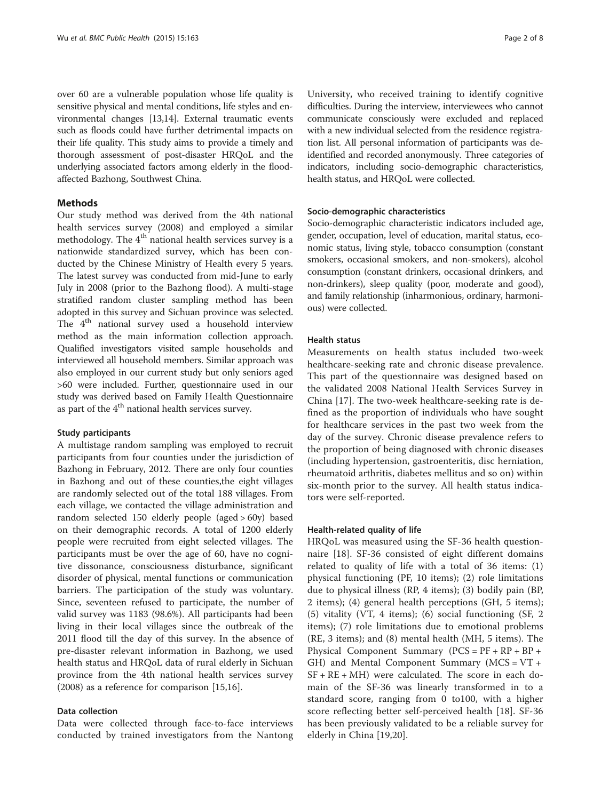over 60 are a vulnerable population whose life quality is sensitive physical and mental conditions, life styles and environmental changes [[13,14](#page-7-0)]. External traumatic events such as floods could have further detrimental impacts on their life quality. This study aims to provide a timely and thorough assessment of post-disaster HRQoL and the underlying associated factors among elderly in the floodaffected Bazhong, Southwest China.

# **Methods**

Our study method was derived from the 4th national health services survey (2008) and employed a similar methodology. The  $4<sup>th</sup>$  national health services survey is a nationwide standardized survey, which has been conducted by the Chinese Ministry of Health every 5 years. The latest survey was conducted from mid-June to early July in 2008 (prior to the Bazhong flood). A multi-stage stratified random cluster sampling method has been adopted in this survey and Sichuan province was selected. The 4<sup>th</sup> national survey used a household interview method as the main information collection approach. Qualified investigators visited sample households and interviewed all household members. Similar approach was also employed in our current study but only seniors aged >60 were included. Further, questionnaire used in our study was derived based on Family Health Questionnaire as part of the  $4<sup>th</sup>$  national health services survey.

## Study participants

A multistage random sampling was employed to recruit participants from four counties under the jurisdiction of Bazhong in February, 2012. There are only four counties in Bazhong and out of these counties,the eight villages are randomly selected out of the total 188 villages. From each village, we contacted the village administration and random selected 150 elderly people (aged > 60y) based on their demographic records. A total of 1200 elderly people were recruited from eight selected villages. The participants must be over the age of 60, have no cognitive dissonance, consciousness disturbance, significant disorder of physical, mental functions or communication barriers. The participation of the study was voluntary. Since, seventeen refused to participate, the number of valid survey was 1183 (98.6%). All participants had been living in their local villages since the outbreak of the 2011 flood till the day of this survey. In the absence of pre-disaster relevant information in Bazhong, we used health status and HRQoL data of rural elderly in Sichuan province from the 4th national health services survey (2008) as a reference for comparison [\[15,16](#page-7-0)].

# Data collection

Data were collected through face-to-face interviews conducted by trained investigators from the Nantong

University, who received training to identify cognitive difficulties. During the interview, interviewees who cannot communicate consciously were excluded and replaced with a new individual selected from the residence registration list. All personal information of participants was deidentified and recorded anonymously. Three categories of indicators, including socio-demographic characteristics, health status, and HRQoL were collected.

#### Socio-demographic characteristics

Socio-demographic characteristic indicators included age, gender, occupation, level of education, marital status, economic status, living style, tobacco consumption (constant smokers, occasional smokers, and non-smokers), alcohol consumption (constant drinkers, occasional drinkers, and non-drinkers), sleep quality (poor, moderate and good), and family relationship (inharmonious, ordinary, harmonious) were collected.

#### Health status

Measurements on health status included two-week healthcare-seeking rate and chronic disease prevalence. This part of the questionnaire was designed based on the validated 2008 National Health Services Survey in China [[17\]](#page-7-0). The two-week healthcare-seeking rate is defined as the proportion of individuals who have sought for healthcare services in the past two week from the day of the survey. Chronic disease prevalence refers to the proportion of being diagnosed with chronic diseases (including hypertension, gastroenteritis, disc herniation, rheumatoid arthritis, diabetes mellitus and so on) within six-month prior to the survey. All health status indicators were self-reported.

#### Health-related quality of life

HRQoL was measured using the SF-36 health questionnaire [\[18\]](#page-7-0). SF-36 consisted of eight different domains related to quality of life with a total of 36 items: (1) physical functioning (PF, 10 items); (2) role limitations due to physical illness (RP, 4 items); (3) bodily pain (BP, 2 items); (4) general health perceptions (GH, 5 items); (5) vitality (VT, 4 items); (6) social functioning (SF, 2 items); (7) role limitations due to emotional problems (RE, 3 items); and (8) mental health (MH, 5 items). The Physical Component Summary (PCS = PF + RP + BP + GH) and Mental Component Summary ( $MCS = VT +$ SF + RE + MH) were calculated. The score in each domain of the SF-36 was linearly transformed in to a standard score, ranging from 0 to100, with a higher score reflecting better self-perceived health [\[18](#page-7-0)]. SF-36 has been previously validated to be a reliable survey for elderly in China [[19,20\]](#page-7-0).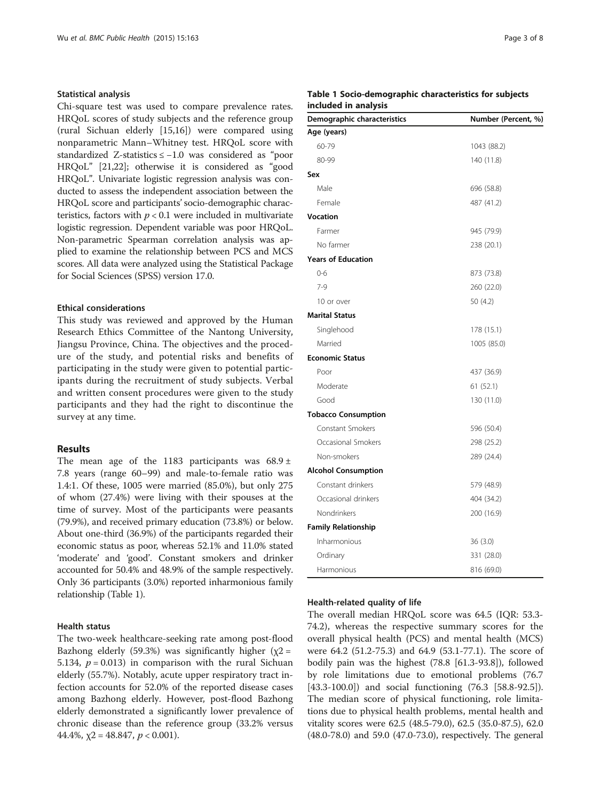#### Statistical analysis

Chi-square test was used to compare prevalence rates. HRQoL scores of study subjects and the reference group (rural Sichuan elderly [\[15,16](#page-7-0)]) were compared using nonparametric Mann–Whitney test. HRQoL score with standardized Z-statistics ≤ −1.0 was considered as "poor HRQoL" [\[21,22](#page-7-0)]; otherwise it is considered as "good HRQoL". Univariate logistic regression analysis was conducted to assess the independent association between the HRQoL score and participants'socio-demographic characteristics, factors with  $p < 0.1$  were included in multivariate logistic regression. Dependent variable was poor HRQoL. Non-parametric Spearman correlation analysis was applied to examine the relationship between PCS and MCS scores. All data were analyzed using the Statistical Package for Social Sciences (SPSS) version 17.0.

# Ethical considerations

This study was reviewed and approved by the Human Research Ethics Committee of the Nantong University, Jiangsu Province, China. The objectives and the procedure of the study, and potential risks and benefits of participating in the study were given to potential participants during the recruitment of study subjects. Verbal and written consent procedures were given to the study participants and they had the right to discontinue the survey at any time.

# Results

The mean age of the 1183 participants was  $68.9 \pm$ 7.8 years (range 60–99) and male-to-female ratio was 1.4:1. Of these, 1005 were married (85.0%), but only 275 of whom (27.4%) were living with their spouses at the time of survey. Most of the participants were peasants (79.9%), and received primary education (73.8%) or below. About one-third (36.9%) of the participants regarded their economic status as poor, whereas 52.1% and 11.0% stated 'moderate' and 'good'. Constant smokers and drinker accounted for 50.4% and 48.9% of the sample respectively. Only 36 participants (3.0%) reported inharmonious family relationship (Table 1).

## Health status

The two-week healthcare-seeking rate among post-flood Bazhong elderly (59.3%) was significantly higher ( $\chi$ 2 = 5.134,  $p = 0.013$ ) in comparison with the rural Sichuan elderly (55.7%). Notably, acute upper respiratory tract infection accounts for 52.0% of the reported disease cases among Bazhong elderly. However, post-flood Bazhong elderly demonstrated a significantly lower prevalence of chronic disease than the reference group (33.2% versus 44.4%,  $\chi$ 2 = 48.847,  $p$  < 0.001).

# Table 1 Socio-demographic characteristics for subjects included in analysis

| Demographic characteristics | Number (Percent, %) |
|-----------------------------|---------------------|
| Age (years)                 |                     |
| 60-79                       | 1043 (88.2)         |
| 80-99                       | 140 (11.8)          |
| Sex                         |                     |
| Male                        | 696 (58.8)          |
| Female                      | 487 (41.2)          |
| <b>Vocation</b>             |                     |
| Farmer                      | 945 (79.9)          |
| No farmer                   | 238 (20.1)          |
| <b>Years of Education</b>   |                     |
| $0 - 6$                     | 873 (73.8)          |
| $7-9$                       | 260 (22.0)          |
| 10 or over                  | 50 (4.2)            |
| <b>Marital Status</b>       |                     |
| Singlehood                  | 178 (15.1)          |
| Married                     | 1005 (85.0)         |
| <b>Economic Status</b>      |                     |
| Poor                        | 437 (36.9)          |
| Moderate                    | 61 (52.1)           |
| Good                        | 130 (11.0)          |
| <b>Tobacco Consumption</b>  |                     |
| Constant Smokers            | 596 (50.4)          |
| Occasional Smokers          | 298 (25.2)          |
| Non-smokers                 | 289 (24.4)          |
| <b>Alcohol Consumption</b>  |                     |
| Constant drinkers           | 579 (48.9)          |
| Occasional drinkers         | 404 (34.2)          |
| Nondrinkers                 | 200 (16.9)          |
| <b>Family Relationship</b>  |                     |
| Inharmonious                | 36(3.0)             |
| Ordinary                    | 331 (28.0)          |
| Harmonious                  | 816 (69.0)          |

## Health-related quality of life

The overall median HRQoL score was 64.5 (IQR: 53.3- 74.2), whereas the respective summary scores for the overall physical health (PCS) and mental health (MCS) were 64.2 (51.2-75.3) and 64.9 (53.1-77.1). The score of bodily pain was the highest (78.8 [61.3-93.8]), followed by role limitations due to emotional problems (76.7 [43.3-100.0]) and social functioning (76.3 [58.8-92.5]). The median score of physical functioning, role limitations due to physical health problems, mental health and vitality scores were 62.5 (48.5-79.0), 62.5 (35.0-87.5), 62.0 (48.0-78.0) and 59.0 (47.0-73.0), respectively. The general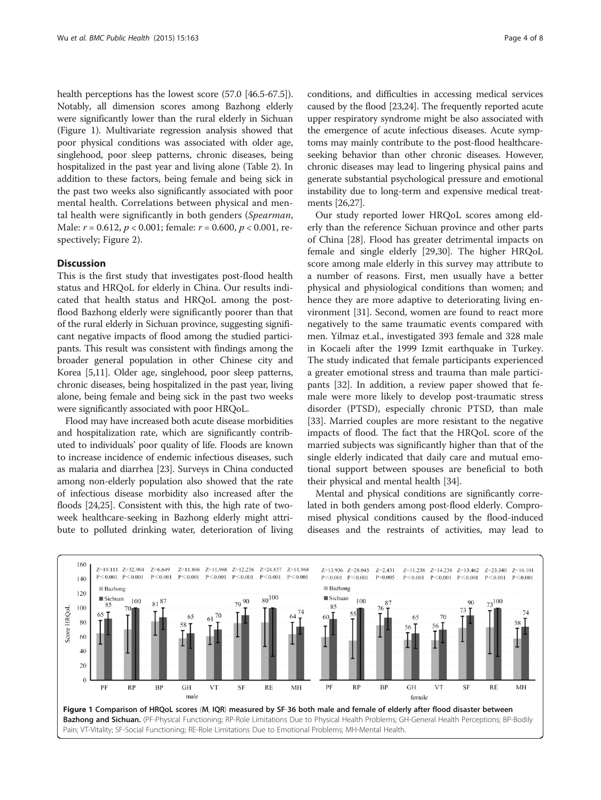health perceptions has the lowest score (57.0 [46.5-67.5]). Notably, all dimension scores among Bazhong elderly were significantly lower than the rural elderly in Sichuan (Figure 1). Multivariate regression analysis showed that poor physical conditions was associated with older age, singlehood, poor sleep patterns, chronic diseases, being hospitalized in the past year and living alone (Table [2\)](#page-4-0). In addition to these factors, being female and being sick in the past two weeks also significantly associated with poor mental health. Correlations between physical and mental health were significantly in both genders (Spearman, Male:  $r = 0.612$ ,  $p < 0.001$ ; female:  $r = 0.600$ ,  $p < 0.001$ , respectively; Figure [2\)](#page-6-0).

# **Discussion**

This is the first study that investigates post-flood health status and HRQoL for elderly in China. Our results indicated that health status and HRQoL among the postflood Bazhong elderly were significantly poorer than that of the rural elderly in Sichuan province, suggesting significant negative impacts of flood among the studied participants. This result was consistent with findings among the broader general population in other Chinese city and Korea [\[5,11\]](#page-7-0). Older age, singlehood, poor sleep patterns, chronic diseases, being hospitalized in the past year, living alone, being female and being sick in the past two weeks were significantly associated with poor HRQoL.

Flood may have increased both acute disease morbidities and hospitalization rate, which are significantly contributed to individuals' poor quality of life. Floods are known to increase incidence of endemic infectious diseases, such as malaria and diarrhea [\[23\]](#page-7-0). Surveys in China conducted among non-elderly population also showed that the rate of infectious disease morbidity also increased after the floods [\[24,25\]](#page-7-0). Consistent with this, the high rate of twoweek healthcare-seeking in Bazhong elderly might attribute to polluted drinking water, deterioration of living conditions, and difficulties in accessing medical services caused by the flood [[23,24](#page-7-0)]. The frequently reported acute upper respiratory syndrome might be also associated with the emergence of acute infectious diseases. Acute symptoms may mainly contribute to the post-flood healthcareseeking behavior than other chronic diseases. However, chronic diseases may lead to lingering physical pains and generate substantial psychological pressure and emotional instability due to long-term and expensive medical treatments [\[26,27](#page-7-0)].

Our study reported lower HRQoL scores among elderly than the reference Sichuan province and other parts of China [\[28](#page-7-0)]. Flood has greater detrimental impacts on female and single elderly [[29](#page-7-0),[30](#page-7-0)]. The higher HRQoL score among male elderly in this survey may attribute to a number of reasons. First, men usually have a better physical and physiological conditions than women; and hence they are more adaptive to deteriorating living environment [\[31](#page-7-0)]. Second, women are found to react more negatively to the same traumatic events compared with men. Yilmaz et.al., investigated 393 female and 328 male in Kocaeli after the 1999 Izmit earthquake in Turkey. The study indicated that female participants experienced a greater emotional stress and trauma than male participants [\[32\]](#page-7-0). In addition, a review paper showed that female were more likely to develop post-traumatic stress disorder (PTSD), especially chronic PTSD, than male [[33\]](#page-7-0). Married couples are more resistant to the negative impacts of flood. The fact that the HRQoL score of the married subjects was significantly higher than that of the single elderly indicated that daily care and mutual emotional support between spouses are beneficial to both their physical and mental health [[34](#page-7-0)].

Mental and physical conditions are significantly correlated in both genders among post-flood elderly. Compromised physical conditions caused by the flood-induced diseases and the restraints of activities, may lead to

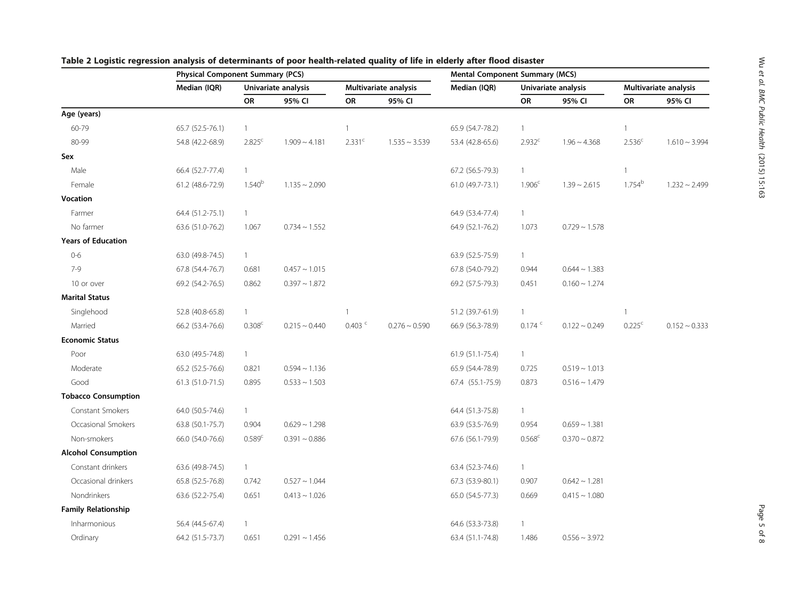|                            | <b>Physical Component Summary (PCS)</b> |                     |                    |                       | <b>Mental Component Summary (MCS)</b> |                  |                     |                    |                       |                    |
|----------------------------|-----------------------------------------|---------------------|--------------------|-----------------------|---------------------------------------|------------------|---------------------|--------------------|-----------------------|--------------------|
|                            | Median (IQR)                            | Univariate analysis |                    | Multivariate analysis |                                       | Median (IQR)     | Univariate analysis |                    | Multivariate analysis |                    |
|                            |                                         | OR                  | 95% CI             | OR                    | 95% CI                                |                  | OR                  | 95% CI             | OR                    | 95% CI             |
| Age (years)                |                                         |                     |                    |                       |                                       |                  |                     |                    |                       |                    |
| 60-79                      | 65.7 (52.5-76.1)                        | $\mathbf{1}$        |                    | 1                     |                                       | 65.9 (54.7-78.2) | $\mathbf{1}$        |                    | 1                     |                    |
| 80-99                      | 54.8 (42.2-68.9)                        | 2.825 <sup>c</sup>  | $1.909 - 4.181$    | 2.331 <sup>c</sup>    | $1.535 \sim 3.539$                    | 53.4 (42.8-65.6) | 2.932 <sup>c</sup>  | $1.96 \sim 4.368$  | 2.536 <sup>c</sup>    | $1.610 \sim 3.994$ |
| Sex                        |                                         |                     |                    |                       |                                       |                  |                     |                    |                       |                    |
| Male                       | 66.4 (52.7-77.4)                        | $\mathbf{1}$        |                    |                       |                                       | 67.2 (56.5-79.3) | $\mathbf{1}$        |                    | 1                     |                    |
| Female                     | 61.2 (48.6-72.9)                        | $1.540^{b}$         | $1.135 \sim 2.090$ |                       |                                       | 61.0 (49.7-73.1) | 1.906 <sup>c</sup>  | $1.39 \sim 2.615$  | $1.754^b$             | $1.232 \sim 2.499$ |
| Vocation                   |                                         |                     |                    |                       |                                       |                  |                     |                    |                       |                    |
| Farmer                     | 64.4 (51.2-75.1)                        | $\mathbf{1}$        |                    |                       |                                       | 64.9 (53.4-77.4) | $\overline{1}$      |                    |                       |                    |
| No farmer                  | 63.6 (51.0-76.2)                        | 1.067               | $0.734 \sim 1.552$ |                       |                                       | 64.9 (52.1-76.2) | 1.073               | $0.729 \sim 1.578$ |                       |                    |
| <b>Years of Education</b>  |                                         |                     |                    |                       |                                       |                  |                     |                    |                       |                    |
| $0 - 6$                    | 63.0 (49.8-74.5)                        | $\mathbf{1}$        |                    |                       |                                       | 63.9 (52.5-75.9) | $\mathbf{1}$        |                    |                       |                    |
| $7 - 9$                    | 67.8 (54.4-76.7)                        | 0.681               | $0.457 \sim 1.015$ |                       |                                       | 67.8 (54.0-79.2) | 0.944               | $0.644 \sim 1.383$ |                       |                    |
| 10 or over                 | 69.2 (54.2-76.5)                        | 0.862               | $0.397 - 1.872$    |                       |                                       | 69.2 (57.5-79.3) | 0.451               | $0.160 \sim 1.274$ |                       |                    |
| <b>Marital Status</b>      |                                         |                     |                    |                       |                                       |                  |                     |                    |                       |                    |
| Singlehood                 | 52.8 (40.8-65.8)                        | $\mathbf{1}$        |                    | $\overline{1}$        |                                       | 51.2 (39.7-61.9) | $\mathbf{1}$        |                    | $\mathbf{1}$          |                    |
| Married                    | 66.2 (53.4-76.6)                        | 0.308 <sup>c</sup>  | $0.215 \sim 0.440$ | $0.403$ <sup>c</sup>  | $0.276 \sim 0.590$                    | 66.9 (56.3-78.9) | $0.174$ $c$         | $0.122 \sim 0.249$ | 0.225 <sup>c</sup>    | $0.152 \sim 0.333$ |
| <b>Economic Status</b>     |                                         |                     |                    |                       |                                       |                  |                     |                    |                       |                    |
| Poor                       | 63.0 (49.5-74.8)                        | $\mathbf{1}$        |                    |                       |                                       | 61.9 (51.1-75.4) | $\mathbf{1}$        |                    |                       |                    |
| Moderate                   | 65.2 (52.5-76.6)                        | 0.821               | $0.594 \sim 1.136$ |                       |                                       | 65.9 (54.4-78.9) | 0.725               | $0.519 - 1.013$    |                       |                    |
| Good                       | 61.3 (51.0-71.5)                        | 0.895               | $0.533 \sim 1.503$ |                       |                                       | 67.4 (55.1-75.9) | 0.873               | $0.516 \sim 1.479$ |                       |                    |
| <b>Tobacco Consumption</b> |                                         |                     |                    |                       |                                       |                  |                     |                    |                       |                    |
| Constant Smokers           | 64.0 (50.5-74.6)                        | $\mathbf{1}$        |                    |                       |                                       | 64.4 (51.3-75.8) | $\overline{1}$      |                    |                       |                    |
| Occasional Smokers         | 63.8 (50.1-75.7)                        | 0.904               | $0.629 \sim 1.298$ |                       |                                       | 63.9 (53.5-76.9) | 0.954               | $0.659 \sim 1.381$ |                       |                    |
| Non-smokers                | 66.0 (54.0-76.6)                        | 0.589 <sup>c</sup>  | $0.391 - 0.886$    |                       |                                       | 67.6 (56.1-79.9) | $0.568^{\circ}$     | $0.370 \sim 0.872$ |                       |                    |
| <b>Alcohol Consumption</b> |                                         |                     |                    |                       |                                       |                  |                     |                    |                       |                    |
| Constant drinkers          | 63.6 (49.8-74.5)                        | $\mathbf{1}$        |                    |                       |                                       | 63.4 (52.3-74.6) | $\mathbf{1}$        |                    |                       |                    |
| Occasional drinkers        | 65.8 (52.5-76.8)                        | 0.742               | $0.527 \sim 1.044$ |                       |                                       | 67.3 (53.9-80.1) | 0.907               | $0.642 \sim 1.281$ |                       |                    |
| Nondrinkers                | 63.6 (52.2-75.4)                        | 0.651               | $0.413 \sim 1.026$ |                       |                                       | 65.0 (54.5-77.3) | 0.669               | $0.415 \sim 1.080$ |                       |                    |
| <b>Family Relationship</b> |                                         |                     |                    |                       |                                       |                  |                     |                    |                       |                    |
| Inharmonious               | 56.4 (44.5-67.4)                        | $\mathbf{1}$        |                    |                       |                                       | 64.6 (53.3-73.8) | $\mathbf{1}$        |                    |                       |                    |
| Ordinary                   | 64.2 (51.5-73.7)                        | 0.651               | $0.291 \sim 1.456$ |                       |                                       | 63.4 (51.1-74.8) | 1.486               | $0.556 \sim 3.972$ |                       |                    |

# <span id="page-4-0"></span>Table 2 Logistic regression analysis of determinants of poor health-related quality of life in elderly after flood disaster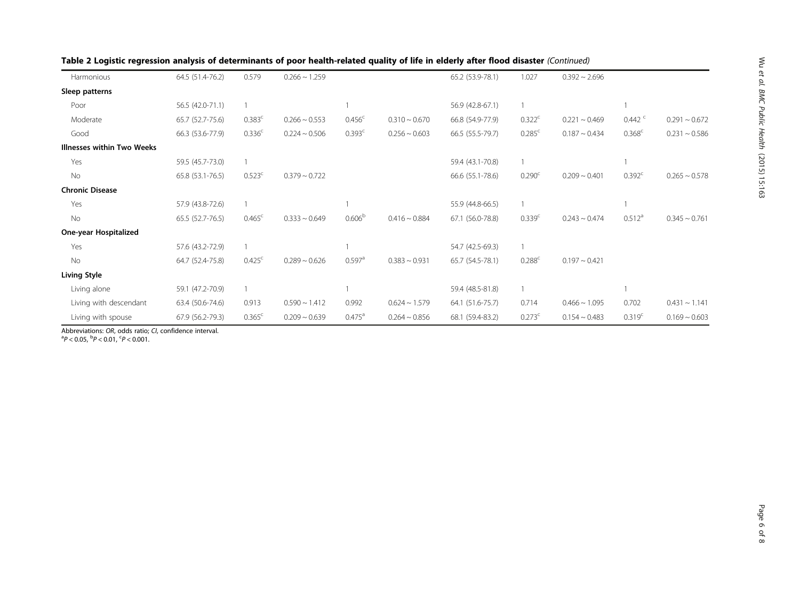| Harmonious                        | 64.5 (51.4-76.2) | 0.579              | $0.266 \sim 1.259$ |                      |                    | 65.2 (53.9-78.1) | 1.027                | $0.392 \sim 2.696$ |                    |                    |
|-----------------------------------|------------------|--------------------|--------------------|----------------------|--------------------|------------------|----------------------|--------------------|--------------------|--------------------|
| Sleep patterns                    |                  |                    |                    |                      |                    |                  |                      |                    |                    |                    |
| Poor                              | 56.5 (42.0-71.1) |                    |                    |                      |                    | 56.9 (42.8-67.1) |                      |                    |                    |                    |
| Moderate                          | 65.7 (52.7-75.6) | 0.383c             | $0.266 \sim 0.553$ | 0.456 <sup>c</sup>   | $0.310 \sim 0.670$ | 66.8 (54.9-77.9) | 0.322 <sup>c</sup>   | $0.221 \sim 0.469$ | 0.442              | $0.291 - 0.672$    |
| Good                              | 66.3 (53.6-77.9) | 0.336 <sup>c</sup> | $0.224 \sim 0.506$ | 0.393 <sup>c</sup>   | $0.256 \sim 0.603$ | 66.5 (55.5-79.7) | 0.285 <sup>c</sup>   | $0.187 \sim 0.434$ | $0.368^{\circ}$    | $0.231 - 0.586$    |
| <b>Illnesses within Two Weeks</b> |                  |                    |                    |                      |                    |                  |                      |                    |                    |                    |
| Yes                               | 59.5 (45.7-73.0) |                    |                    |                      |                    | 59.4 (43.1-70.8) |                      |                    |                    |                    |
| No                                | 65.8 (53.1-76.5) | 0.523 <sup>c</sup> | $0.379 \sim 0.722$ |                      |                    | 66.6 (55.1-78.6) | 0.290 <sup>c</sup>   | $0.209 \sim 0.401$ | $0.392^{\circ}$    | $0.265 \sim 0.578$ |
| <b>Chronic Disease</b>            |                  |                    |                    |                      |                    |                  |                      |                    |                    |                    |
| Yes                               | 57.9 (43.8-72.6) |                    |                    |                      |                    | 55.9 (44.8-66.5) |                      |                    |                    |                    |
| No                                | 65.5 (52.7-76.5) | $0.465^{\circ}$    | $0.333 \sim 0.649$ | 0.606 <sup>b</sup>   | $0.416 \sim 0.884$ | 67.1 (56.0-78.8) | 0.339 <sup>c</sup>   | $0.243 \sim 0.474$ | $0.512^a$          | $0.345 \sim 0.761$ |
| One-year Hospitalized             |                  |                    |                    |                      |                    |                  |                      |                    |                    |                    |
| Yes                               | 57.6 (43.2-72.9) |                    |                    |                      |                    | 54.7 (42.5-69.3) |                      |                    |                    |                    |
| No                                | 64.7 (52.4-75.8) | $0.425^{\circ}$    | $0.289 \sim 0.626$ | $0.597$ <sup>a</sup> | $0.383 \sim 0.931$ | 65.7 (54.5-78.1) | $0.288$ <sup>c</sup> | $0.197 \sim 0.421$ |                    |                    |
| <b>Living Style</b>               |                  |                    |                    |                      |                    |                  |                      |                    |                    |                    |
| Living alone                      | 59.1 (47.2-70.9) |                    |                    |                      |                    | 59.4 (48.5-81.8) |                      |                    |                    |                    |
| Living with descendant            | 63.4 (50.6-74.6) | 0.913              | $0.590 \sim 1.412$ | 0.992                | $0.624 \sim 1.579$ | 64.1 (51.6-75.7) | 0.714                | $0.466 \sim 1.095$ | 0.702              | $0.431 \sim 1.141$ |
| Living with spouse                | 67.9 (56.2-79.3) | 0.365 <sup>c</sup> | $0.209 \sim 0.639$ | $0.475^{\text{a}}$   | $0.264 \sim 0.856$ | 68.1 (59.4-83.2) | 0.273 <sup>c</sup>   | $0.154 \sim 0.483$ | 0.319 <sup>c</sup> | $0.169 \sim 0.603$ |
| $\mathbf{A}$                      |                  |                    |                    |                      |                    |                  |                      |                    |                    |                    |

Table 2 Logistic regression analysis of determinants of poor health-related quality of life in elderly after flood disaster (Continued)

Abbreviations: OR, odds ratio; CI, confidence interval.

 $P < 0.05$ ,  $\frac{b_P}{c} < 0.01$ ,  $\frac{c_P}{c} < 0.001$ .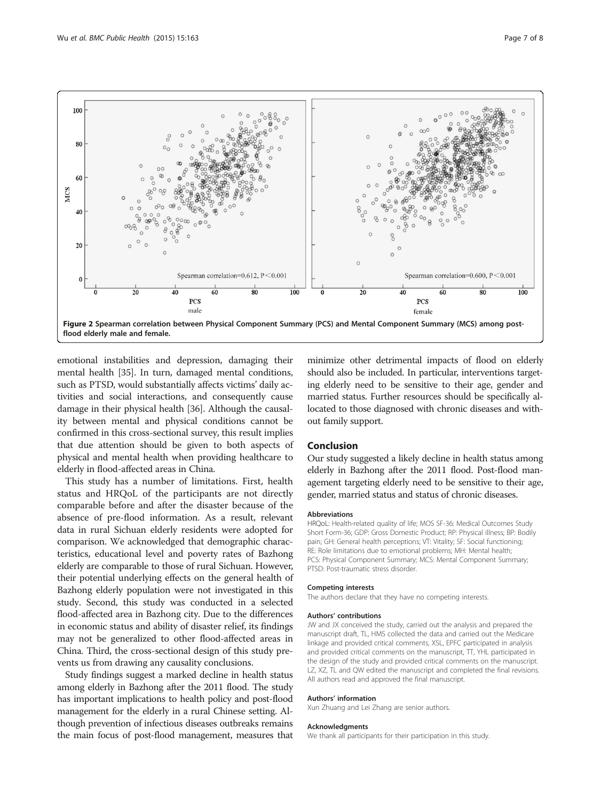<span id="page-6-0"></span>

emotional instabilities and depression, damaging their mental health [\[35\]](#page-7-0). In turn, damaged mental conditions, such as PTSD, would substantially affects victims' daily activities and social interactions, and consequently cause damage in their physical health [\[36](#page-7-0)]. Although the causality between mental and physical conditions cannot be confirmed in this cross-sectional survey, this result implies that due attention should be given to both aspects of physical and mental health when providing healthcare to elderly in flood-affected areas in China.

This study has a number of limitations. First, health status and HRQoL of the participants are not directly comparable before and after the disaster because of the absence of pre-flood information. As a result, relevant data in rural Sichuan elderly residents were adopted for comparison. We acknowledged that demographic characteristics, educational level and poverty rates of Bazhong elderly are comparable to those of rural Sichuan. However, their potential underlying effects on the general health of Bazhong elderly population were not investigated in this study. Second, this study was conducted in a selected flood-affected area in Bazhong city. Due to the differences in economic status and ability of disaster relief, its findings may not be generalized to other flood-affected areas in China. Third, the cross-sectional design of this study prevents us from drawing any causality conclusions.

Study findings suggest a marked decline in health status among elderly in Bazhong after the 2011 flood. The study has important implications to health policy and post-flood management for the elderly in a rural Chinese setting. Although prevention of infectious diseases outbreaks remains the main focus of post-flood management, measures that minimize other detrimental impacts of flood on elderly should also be included. In particular, interventions targeting elderly need to be sensitive to their age, gender and married status. Further resources should be specifically allocated to those diagnosed with chronic diseases and without family support.

## Conclusion

Our study suggested a likely decline in health status among elderly in Bazhong after the 2011 flood. Post-flood management targeting elderly need to be sensitive to their age, gender, married status and status of chronic diseases.

#### Abbreviations

HRQoL: Health-related quality of life; MOS SF-36: Medical Outcomes Study Short Form-36; GDP: Gross Domestic Product; RP: Physical illness; BP: Bodily pain; GH: General health perceptions; VT: Vitality; SF: Social functioning; RE: Role limitations due to emotional problems; MH: Mental health; PCS: Physical Component Summary; MCS: Mental Component Summary; PTSD: Post-traumatic stress disorder.

#### Competing interests

The authors declare that they have no competing interests.

#### Authors' contributions

JW and JX conceived the study, carried out the analysis and prepared the manuscript draft, TL, HMS collected the data and carried out the Medicare linkage and provided critical comments, XSL, EPFC participated in analysis and provided critical comments on the manuscript, TT, YHL participated in the design of the study and provided critical comments on the manuscript. LZ, XZ, TL and QW edited the manuscript and completed the final revisions. All authors read and approved the final manuscript.

#### Authors' information

Xun Zhuang and Lei Zhang are senior authors.

#### Acknowledgments

We thank all participants for their participation in this study.